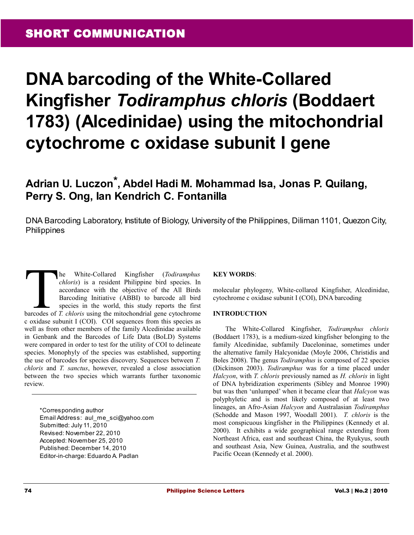# **DNA barcoding of the White-Collared Kingfisher** *Todiramphus chloris* **(Boddaert 1783) (Alcedinidae) using the mitochondrial cytochrome c oxidase subunit I gene**

# **Adrian U. Luczon\*, Abdel Hadi M. Mohammad Isa, Jonas P. Quilang, Perry S. Ong, Ian Kendrich C. Fontanilla**

DNA Barcoding Laboratory, Institute of Biology, University of the Philippines, Diliman 1101, Quezon City, Philippines

he White-Collared Kingfisher (*Todiramphus chloris*) is a resident Philippine bird species. In accordance with the objective of the All Birds Barcoding Initiative (ABBI) to barcode all bird species in the world, this study reports the first **Exercise of** *T. chloris* is a resident Philippine bird species. In accordance with the objective of the All Birds Barcoding Initiative (ABBI) to barcode all bird species in the world, this study reports the first barcode c oxidase subunit I (COI). COI sequences from this species as well as from other members of the family Alcedinidae available in Genbank and the Barcodes of Life Data (BoLD) Systems were compared in order to test for the utility of COI to delineate species. Monophyly of the species was established, supporting the use of barcodes for species discovery. Sequences between *T. chloris* and *T. sanctus*, however, revealed a close association between the two species which warrants further taxonomic review.

\*Corresponding author Email Address: aul\_me\_sci@yahoo.com Submitted: July 11, 2010 Revised: November 22, 2010 Accepted: November 25, 2010 Published: December 14, 2010 Editor-in-charge: Eduardo A. Padlan

# **KEY WORDS**:

molecular phylogeny, White-collared Kingfisher, Alcedinidae, cytochrome c oxidase subunit I (COI), DNA barcoding

#### **INTRODUCTION**

The White-Collared Kingfisher, *Todiramphus chloris* (Boddaert 1783), is a medium-sized kingfisher belonging to the family Alcedinidae, subfamily Daceloninae, sometimes under the alternative family Halcyonidae (Moyle 2006, Christidis and Boles 2008). The genus *Todiramphus* is composed of 22 species (Dickinson 2003). *Todiramphus* was for a time placed under *Halcyon*, with *T. chloris* previously named as *H. chloris* in light of DNA hybridization experiments (Sibley and Monroe 1990) but was then 'unlumped' when it became clear that *Halcyon* was polyphyletic and is most likely composed of at least two lineages, an Afro-Asian *Halcyon* and Australasian *Todiramphus* (Schodde and Mason 1997, Woodall 2001). *T. chloris* is the most conspicuous kingfisher in the Philippines (Kennedy et al. 2000). It exhibits a wide geographical range extending from Northeast Africa, east and southeast China, the Ryukyus, south and southeast Asia, New Guinea, Australia, and the southwest Pacific Ocean (Kennedy et al. 2000).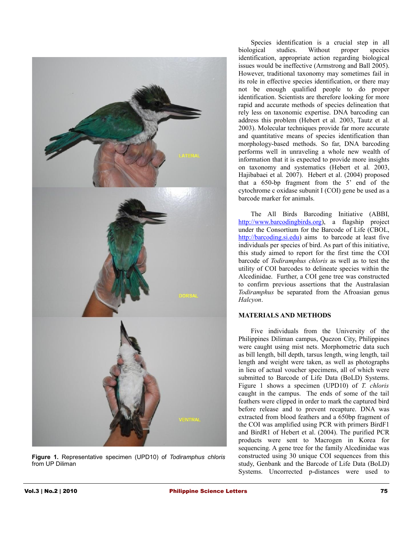

**Figure 1.** Representative specimen (UPD10) of *Todiramphus chloris* from UP Diliman

Species identification is a crucial step in all biological studies. Without proper species identification, appropriate action regarding biological issues would be ineffective (Armstrong and Ball 2005). However, traditional taxonomy may sometimes fail in its role in effective species identification, or there may not be enough qualified people to do proper identification. Scientists are therefore looking for more rapid and accurate methods of species delineation that rely less on taxonomic expertise. DNA barcoding can address this problem (Hebert et al*.* 2003, Tautz et al*.* 2003). Molecular techniques provide far more accurate and quantitative means of species identification than morphology-based methods. So far, DNA barcoding performs well in unraveling a whole new wealth of information that it is expected to provide more insights on taxonomy and systematics (Hebert et al*.* 2003, Hajibabaei et al*.* 2007). Hebert et al. (2004) proposed that a 650-bp fragment from the 5' end of the cytochrome c oxidase subunit I (COI) gene be used as a barcode marker for animals.

The All Birds Barcoding Initiative (ABBI, [http://www.barcodingbirds.org\)](http://www.barcodingbirds.org/), a flagship project under the Consortium for the Barcode of Life (CBOL, [http://barcoding.si.edu\)](http://barcoding.si.edu/) aims to barcode at least five individuals per species of bird. As part of this initiative, this study aimed to report for the first time the COI barcode of *Todiramphus chloris* as well as to test the utility of COI barcodes to delineate species within the Alcedinidae. Further, a COI gene tree was constructed to confirm previous assertions that the Australasian *Todiramphus* be separated from the Afroasian genus *Halcyon*.

# **MATERIALS AND METHODS**

Five individuals from the University of the Philippines Diliman campus, Quezon City, Philippines were caught using mist nets. Morphometric data such as bill length, bill depth, tarsus length, wing length, tail length and weight were taken, as well as photographs in lieu of actual voucher specimens, all of which were submitted to Barcode of Life Data (BoLD) Systems. Figure 1 shows a specimen (UPD10) of *T. chloris* caught in the campus. The ends of some of the tail feathers were clipped in order to mark the captured bird before release and to prevent recapture. DNA was extracted from blood feathers and a 650bp fragment of the COI was amplified using PCR with primers BirdF1 and BirdR1 of Hebert et al. (2004). The purified PCR products were sent to Macrogen in Korea for sequencing. A gene tree for the family Alcedinidae was constructed using 30 unique COI sequences from this study, Genbank and the Barcode of Life Data (BoLD) Systems. Uncorrected p-distances were used to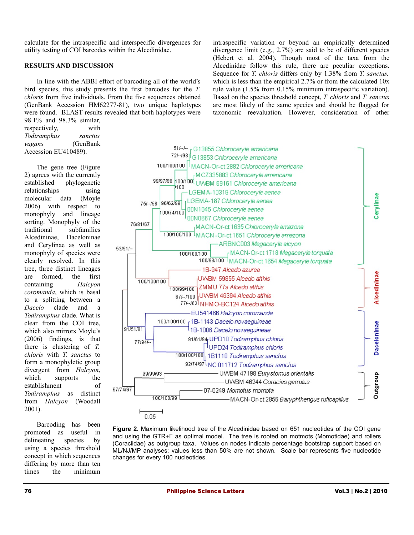calculate for the intraspecific and interspecific divergences for utility testing of COI barcodes within the Alcedinidae.

#### **RESULTS AND DISCUSSION**

In line with the ABBI effort of barcoding all of the world's bird species, this study presents the first barcodes for the *T. chloris* from five individuals. From the five sequences obtained (GenBank Accession HM62277-81), two unique haplotypes were found. BLAST results revealed that both haplotypes were 98.1% and 98.3% similar,

respectively, with *Todiramphus sanctus vagans* (GenBank Accession EU410489).

The gene tree (Figure 2) agrees with the currently established phylogenetic relationships using molecular data (Moyle 2006) with respect to monophyly and lineage sorting. Monophyly of the traditional subfamilies Alcedininae, Daceloninae and Cerylinae as well as monophyly of species were clearly resolved. In this tree, three distinct lineages are formed, the first containing *Halcyon coromanda*, which is basal to a splitting between a *Dacelo* clade and a *Todiramphus* clade. What is clear from the COI tree, which also mirrors Moyle's (2006) findings, is that there is clustering of *T. chloris* with *T. sanctus* to form a monophyletic group divergent from *Halcyon*, which supports the establishment of *Todiramphus* as distinct from *Halcyon* (Woodall 2001).

Barcoding has been promoted as useful in delineating species by using a species threshold concept in which sequences differing by more than ten times the minimum intraspecific variation or beyond an empirically determined divergence limit (e.g., 2.7%) are said to be of different species (Hebert et al*.* 2004). Though most of the taxa from the Alcedinidae follow this rule, there are peculiar exceptions. Sequence for *T. chloris* differs only by 1.38% from *T. sanctus,* which is less than the empirical 2.7% or from the calculated 10x rule value (1.5% from 0.15% minimum intraspecific variation). Based on the species threshold concept, *T. chloris* and *T. sanctus* are most likely of the same species and should be flagged for taxonomic reevaluation. However, consideration of other



**Figure 2.** Maximum likelihood tree of the Alcedinidae based on 651 nucleotides of the COI gene and using the GTR+Γ as optimal model. The tree is rooted on motmots (Momotidae) and rollers (Coraciidae) as outgroup taxa. Values on nodes indicate percentage bootstrap support based on ML/NJ/MP analyses; values less than 50% are not shown. Scale bar represents five nucleotide changes for every 100 nucleotides.